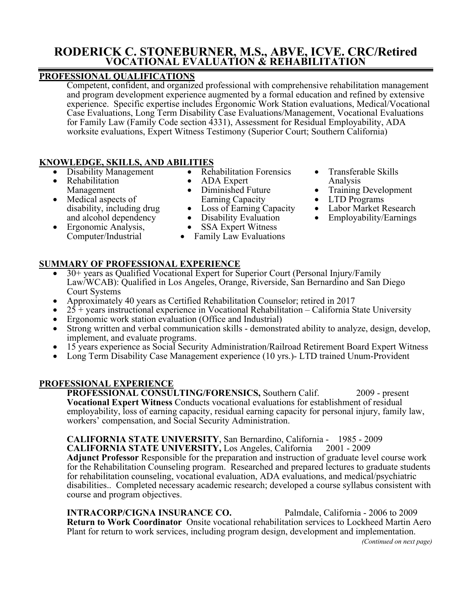# **RODERICK C. STONEBURNER, M.S., ABVE, ICVE. CRC/Retired VOCATIONAL EVALUATION & REHABILITATION**

### **PROFESSIONAL QUALIFICATIONS**

Competent, confident, and organized professional with comprehensive rehabilitation management and program development experience augmented by a formal education and refined by extensive experience. Specific expertise includes Ergonomic Work Station evaluations, Medical/Vocational Case Evaluations, Long Term Disability Case Evaluations/Management, Vocational Evaluations for Family Law (Family Code section 4331), Assessment for Residual Employability, ADA worksite evaluations, Expert Witness Testimony (Superior Court; Southern California)

### **KNOWLEDGE, SKILLS, AND ABILITIES**

- Disability Management
- Rehabilitation Management
- Medical aspects of disability, including drug and alcohol dependency
- Ergonomic Analysis, Computer/Industrial
- Rehabilitation Forensics
- ADA Expert
- Diminished Future Earning Capacity
- Loss of Earning Capacity
- Disability Evaluation
- SSA Expert Witness
- Family Law Evaluations
- Transferable Skills Analysis
- Training Development
- LTD Programs
- Labor Market Research
- Employability/Earnings

- **SUMMARY OF PROFESSIONAL EXPERIENCE**
	- 30+ years as Qualified Vocational Expert for Superior Court (Personal Injury/Family Law/WCAB): Qualified in Los Angeles, Orange, Riverside, San Bernardino and San Diego Court Systems
	- Approximately 40 years as Certified Rehabilitation Counselor; retired in 2017
	- $25 +$  years instructional experience in Vocational Rehabilitation California State University
	- Ergonomic work station evaluation (Office and Industrial)
	- Strong written and verbal communication skills demonstrated ability to analyze, design, develop, implement, and evaluate programs.
	- 15 years experience as Social Security Administration/Railroad Retirement Board Expert Witness
	- Long Term Disability Case Management experience (10 yrs.) LTD trained Unum-Provident

### **PROFESSIONAL EXPERIENCE**

**PROFESSIONAL CONSULTING/FORENSICS,** Southern Calif. 2009 - present **Vocational Expert Witness** Conducts vocational evaluations for establishment of residual employability, loss of earning capacity, residual earning capacity for personal injury, family law, workers' compensation, and Social Security Administration.

**CALIFORNIA STATE UNIVERSITY**, San Bernardino, California - 1985 - 2009 **CALIFORNIA STATE UNIVERSITY,** Los Angeles, California 2001 - 2009 **Adjunct Professor** Responsible for the preparation and instruction of graduate level course work for the Rehabilitation Counseling program. Researched and prepared lectures to graduate students for rehabilitation counseling, vocational evaluation, ADA evaluations, and medical/psychiatric disabilities.. Completed necessary academic research; developed a course syllabus consistent with course and program objectives.

**INTRACORP/CIGNA INSURANCE CO.** Palmdale, California - 2006 to 2009 **Return to Work Coordinator** Onsite vocational rehabilitation services to Lockheed Martin Aero Plant for return to work services, including program design, development and implementation.

*(Continued on next page)*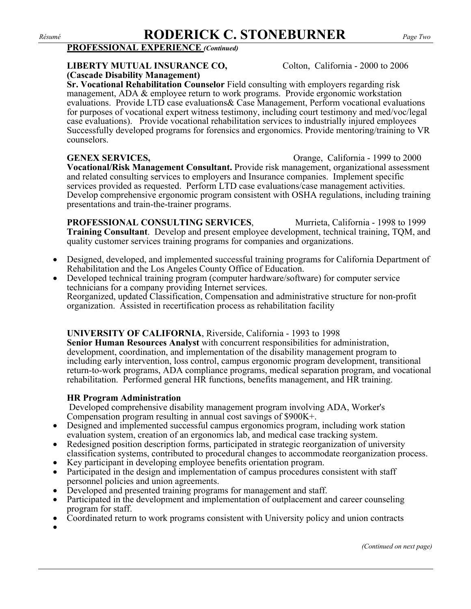### *Résumé* **RODERICK C. STONEBURNER** *Page Two*

### **PROFESSIONAL EXPERIENCE** *(Continued)*

### **LIBERTY MUTUAL INSURANCE CO,** Colton, California - 2000 to 2006 **(Cascade Disability Management)**

**Sr. Vocational Rehabilitation Counselor** Field consulting with employers regarding risk management, ADA & employee return to work programs. Provide ergonomic workstation evaluations. Provide LTD case evaluations& Case Management, Perform vocational evaluations for purposes of vocational expert witness testimony, including court testimony and med/voc/legal case evaluations). Provide vocational rehabilitation services to industrially injured employees Successfully developed programs for forensics and ergonomics. Provide mentoring/training to VR counselors.

**GENEX SERVICES,** Orange, California - 1999 to 2000 **Vocational/Risk Management Consultant.** Provide risk management, organizational assessment and related consulting services to employers and Insurance companies. Implement specific services provided as requested. Perform LTD case evaluations/case management activities. Develop comprehensive ergonomic program consistent with OSHA regulations, including training presentations and train-the-trainer programs.

**PROFESSIONAL CONSULTING SERVICES.** Murrieta, California - 1998 to 1999 **Training Consultant**. Develop and present employee development, technical training, TQM, and quality customer services training programs for companies and organizations.

- Designed, developed, and implemented successful training programs for California Department of Rehabilitation and the Los Angeles County Office of Education.
- Developed technical training program (computer hardware/software) for computer service technicians for a company providing Internet services. Reorganized, updated Classification, Compensation and administrative structure for non-profit organization. Assisted in recertification process as rehabilitation facility

### **UNIVERSITY OF CALIFORNIA**, Riverside, California - 1993 to 1998

**Senior Human Resources Analyst** with concurrent responsibilities for administration, development, coordination, and implementation of the disability management program to including early intervention, loss control, campus ergonomic program development, transitional return-to-work programs, ADA compliance programs, medical separation program, and vocational rehabilitation. Performed general HR functions, benefits management, and HR training.

### **HR Program Administration**

Developed comprehensive disability management program involving ADA, Worker's Compensation program resulting in annual cost savings of \$900K+.

- Designed and implemented successful campus ergonomics program, including work station evaluation system, creation of an ergonomics lab, and medical case tracking system.
- Redesigned position description forms, participated in strategic reorganization of university classification systems, contributed to procedural changes to accommodate reorganization process.
- 
- Participated in the design and implementation of campus procedures consistent with staff • Developed and presented training programs for management and staff.<br>• Developed and presented training programs for management and staff.<br>• Participated in the development and implementation of outplacement and career co
- 
- program for staff. Coordinated return to work programs consistent with University policy and union contracts •
- 
- 

*(Continued on next page)*